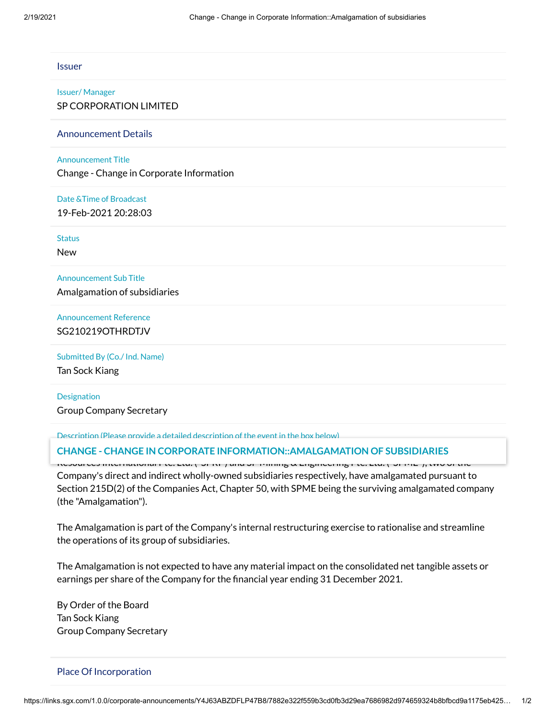| <b>Issuer</b>                            |  |
|------------------------------------------|--|
| <b>Issuer/Manager</b>                    |  |
| SP CORPORATION LIMITED                   |  |
| <b>Announcement Details</b>              |  |
| <b>Announcement Title</b>                |  |
| Change - Change in Corporate Information |  |
| Date & Time of Broadcast                 |  |
| 19-Feb-2021 20:28:03                     |  |
| <b>Status</b>                            |  |
| <b>New</b>                               |  |
| <b>Announcement Sub Title</b>            |  |
| Amalgamation of subsidiaries             |  |
| <b>Announcement Reference</b>            |  |
| SG210219OTHRDTJV                         |  |
| Submitted By (Co./ Ind. Name)            |  |
| Tan Sock Kiang                           |  |
| $\sim$                                   |  |

**Designation** Group Company Secretary

Description (Please provide a detailed description of the event in the box below)

### SP Corporation Limited (the "Company") hereby announces that with effect from 1 January 2021, SP **CHANGE - CHANGE IN CORPORATE INFORMATION::AMALGAMATION OF SUBSIDIARIES**

Resources International Pte. Ltd. ("SPRI") and SP Mining & Engineering Pte. Ltd. ("SPME"), two of the Company's direct and indirect wholly-owned subsidiaries respectively, have amalgamated pursuant to Section 215D(2) of the Companies Act, Chapter 50, with SPME being the surviving amalgamated company (the "Amalgamation").

The Amalgamation is part of the Company's internal restructuring exercise to rationalise and streamline the operations of its group of subsidiaries.

The Amalgamation is not expected to have any material impact on the consolidated net tangible assets or earnings per share of the Company for the financial year ending 31 December 2021.

By Order of the Board Tan Sock Kiang Group Company Secretary

#### Place Of Incorporation